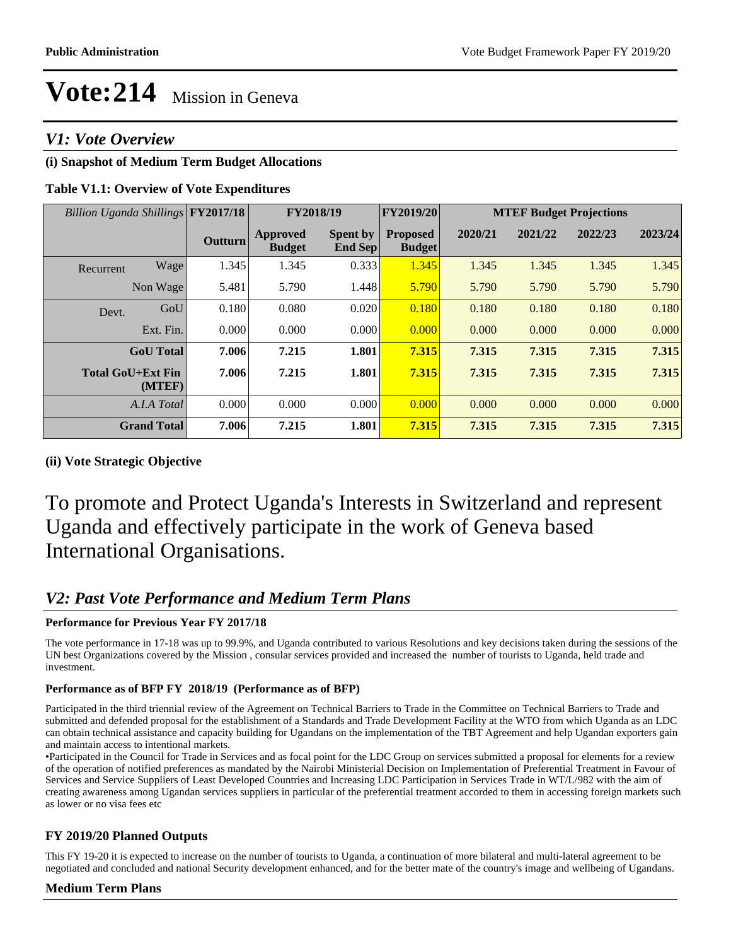## *V1: Vote Overview*

## **(i) Snapshot of Medium Term Budget Allocations**

## **Table V1.1: Overview of Vote Expenditures**

| Billion Uganda Shillings FY2017/18 |                                    |                | FY2018/19                 |                                   | FY2019/20                        | <b>MTEF Budget Projections</b> |         |         |         |
|------------------------------------|------------------------------------|----------------|---------------------------|-----------------------------------|----------------------------------|--------------------------------|---------|---------|---------|
|                                    |                                    | <b>Outturn</b> | Approved<br><b>Budget</b> | <b>Spent by</b><br><b>End Sep</b> | <b>Proposed</b><br><b>Budget</b> | 2020/21                        | 2021/22 | 2022/23 | 2023/24 |
| Recurrent                          | Wage                               | 1.345          | 1.345                     | 0.333                             | 1.345                            | 1.345                          | 1.345   | 1.345   | 1.345   |
|                                    | Non Wage                           | 5.481          | 5.790                     | 1.448                             | 5.790                            | 5.790                          | 5.790   | 5.790   | 5.790   |
| Devt.                              | GoU                                | 0.180          | 0.080                     | 0.020                             | 0.180                            | 0.180                          | 0.180   | 0.180   | 0.180   |
|                                    | Ext. Fin.                          | 0.000          | 0.000                     | 0.000                             | 0.000                            | 0.000                          | 0.000   | 0.000   | 0.000   |
|                                    | <b>GoU</b> Total                   | 7.006          | 7.215                     | 1.801                             | 7.315                            | 7.315                          | 7.315   | 7.315   | 7.315   |
|                                    | <b>Total GoU+Ext Fin</b><br>(MTEF) | 7.006          | 7.215                     | 1.801                             | 7.315                            | 7.315                          | 7.315   | 7.315   | 7.315   |
|                                    | A.I.A Total                        | 0.000          | 0.000                     | 0.000                             | 0.000                            | 0.000                          | 0.000   | 0.000   | 0.000   |
|                                    | <b>Grand Total</b>                 | 7.006          | 7.215                     | 1.801                             | 7.315                            | 7.315                          | 7.315   | 7.315   | 7.315   |

## **(ii) Vote Strategic Objective**

To promote and Protect Uganda's Interests in Switzerland and represent Uganda and effectively participate in the work of Geneva based International Organisations.

## *V2: Past Vote Performance and Medium Term Plans*

## **Performance for Previous Year FY 2017/18**

The vote performance in 17-18 was up to 99.9%, and Uganda contributed to various Resolutions and key decisions taken during the sessions of the UN best Organizations covered by the Mission , consular services provided and increased the number of tourists to Uganda, held trade and investment.

## **Performance as of BFP FY 2018/19 (Performance as of BFP)**

Participated in the third triennial review of the Agreement on Technical Barriers to Trade in the Committee on Technical Barriers to Trade and submitted and defended proposal for the establishment of a Standards and Trade Development Facility at the WTO from which Uganda as an LDC can obtain technical assistance and capacity building for Ugandans on the implementation of the TBT Agreement and help Ugandan exporters gain and maintain access to intentional markets.

Participated in the Council for Trade in Services and as focal point for the LDC Group on services submitted a proposal for elements for a review of the operation of notified preferences as mandated by the Nairobi Ministerial Decision on Implementation of Preferential Treatment in Favour of Services and Service Suppliers of Least Developed Countries and Increasing LDC Participation in Services Trade in WT/L/982 with the aim of creating awareness among Ugandan services suppliers in particular of the preferential treatment accorded to them in accessing foreign markets such as lower or no visa fees etc

## **FY 2019/20 Planned Outputs**

This FY 19-20 it is expected to increase on the number of tourists to Uganda, a continuation of more bilateral and multi-lateral agreement to be negotiated and concluded and national Security development enhanced, and for the better mate of the country's image and wellbeing of Ugandans.

## **Medium Term Plans**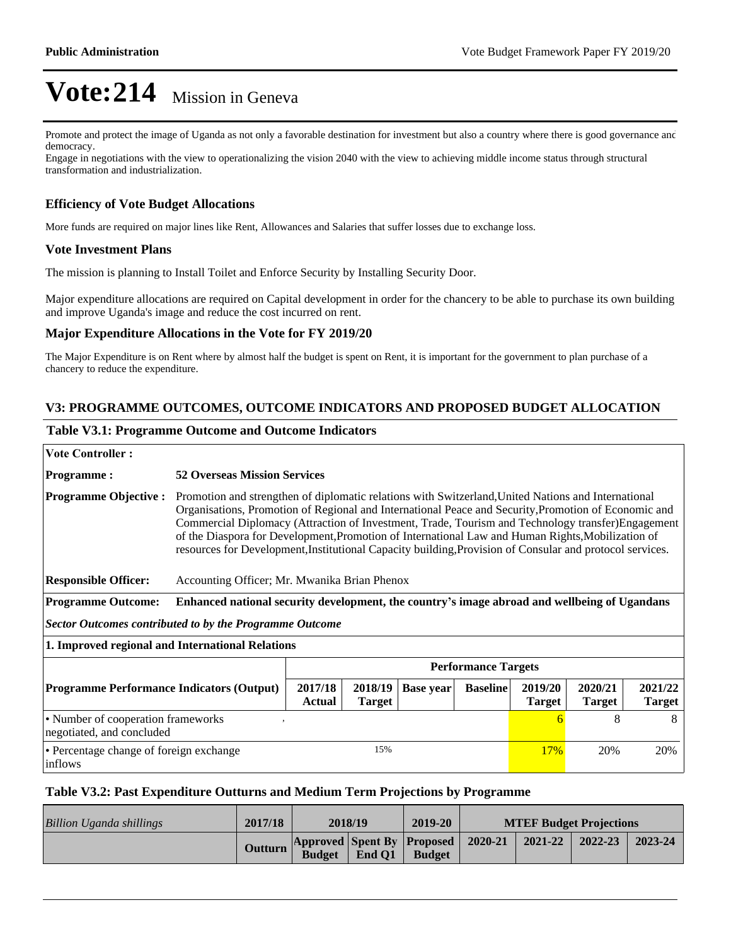Promote and protect the image of Uganda as not only a favorable destination for investment but also a country where there is good governance and democracy.

Engage in negotiations with the view to operationalizing the vision 2040 with the view to achieving middle income status through structural transformation and industrialization.

## **Efficiency of Vote Budget Allocations**

More funds are required on major lines like Rent, Allowances and Salaries that suffer losses due to exchange loss.

#### **Vote Investment Plans**

The mission is planning to Install Toilet and Enforce Security by Installing Security Door.

Major expenditure allocations are required on Capital development in order for the chancery to be able to purchase its own building and improve Uganda's image and reduce the cost incurred on rent.

#### **Major Expenditure Allocations in the Vote for FY 2019/20**

The Major Expenditure is on Rent where by almost half the budget is spent on Rent, it is important for the government to plan purchase of a chancery to reduce the expenditure.

## **V3: PROGRAMME OUTCOMES, OUTCOME INDICATORS AND PROPOSED BUDGET ALLOCATION**

#### **Table V3.1: Programme Outcome and Outcome Indicators**

| <b>Vote Controller:</b>                                         |                                                                                                                                                                                                                                                                                                                                                                                                                                                                                                                                   |                          |                  |                 |                          |                          |                          |  |  |  |
|-----------------------------------------------------------------|-----------------------------------------------------------------------------------------------------------------------------------------------------------------------------------------------------------------------------------------------------------------------------------------------------------------------------------------------------------------------------------------------------------------------------------------------------------------------------------------------------------------------------------|--------------------------|------------------|-----------------|--------------------------|--------------------------|--------------------------|--|--|--|
| <b>Programme:</b>                                               | <b>52 Overseas Mission Services</b>                                                                                                                                                                                                                                                                                                                                                                                                                                                                                               |                          |                  |                 |                          |                          |                          |  |  |  |
| <b>Programme Objective:</b>                                     | Promotion and strengthen of diplomatic relations with Switzerland, United Nations and International<br>Organisations, Promotion of Regional and International Peace and Security, Promotion of Economic and<br>Commercial Diplomacy (Attraction of Investment, Trade, Tourism and Technology transfer)Engagement<br>of the Diaspora for Development, Promotion of International Law and Human Rights, Mobilization of<br>resources for Development, Institutional Capacity building, Provision of Consular and protocol services. |                          |                  |                 |                          |                          |                          |  |  |  |
| <b>Responsible Officer:</b>                                     | Accounting Officer; Mr. Mwanika Brian Phenox                                                                                                                                                                                                                                                                                                                                                                                                                                                                                      |                          |                  |                 |                          |                          |                          |  |  |  |
| <b>Programme Outcome:</b>                                       | Enhanced national security development, the country's image abroad and wellbeing of Ugandans                                                                                                                                                                                                                                                                                                                                                                                                                                      |                          |                  |                 |                          |                          |                          |  |  |  |
| Sector Outcomes contributed to by the Programme Outcome         |                                                                                                                                                                                                                                                                                                                                                                                                                                                                                                                                   |                          |                  |                 |                          |                          |                          |  |  |  |
| 1. Improved regional and International Relations                |                                                                                                                                                                                                                                                                                                                                                                                                                                                                                                                                   |                          |                  |                 |                          |                          |                          |  |  |  |
|                                                                 | <b>Performance Targets</b>                                                                                                                                                                                                                                                                                                                                                                                                                                                                                                        |                          |                  |                 |                          |                          |                          |  |  |  |
| <b>Programme Performance Indicators (Output)</b>                | 2017/18<br><b>Actual</b>                                                                                                                                                                                                                                                                                                                                                                                                                                                                                                          | 2018/19<br><b>Target</b> | <b>Base year</b> | <b>Baseline</b> | 2019/20<br><b>Target</b> | 2020/21<br><b>Target</b> | 2021/22<br><b>Target</b> |  |  |  |
| • Number of cooperation frameworks<br>negotiated, and concluded |                                                                                                                                                                                                                                                                                                                                                                                                                                                                                                                                   |                          |                  |                 | 6                        | 8                        | 8                        |  |  |  |
| • Percentage change of foreign exchange<br>inflows              | 15%                                                                                                                                                                                                                                                                                                                                                                                                                                                                                                                               |                          |                  | <b>17%</b>      | 20%                      | 20%                      |                          |  |  |  |

#### **Table V3.2: Past Expenditure Outturns and Medium Term Projections by Programme**

| Billion Uganda shillings | 2017/18 | 2018/19       |        | 2019-20                                             | <b>MTEF Budget Projections</b> |         |         |         |
|--------------------------|---------|---------------|--------|-----------------------------------------------------|--------------------------------|---------|---------|---------|
|                          | Outturn | <b>Budget</b> | End O1 | Approved Spent By Proposed 2020-21<br><b>Budget</b> |                                | 2021-22 | 2022-23 | 2023-24 |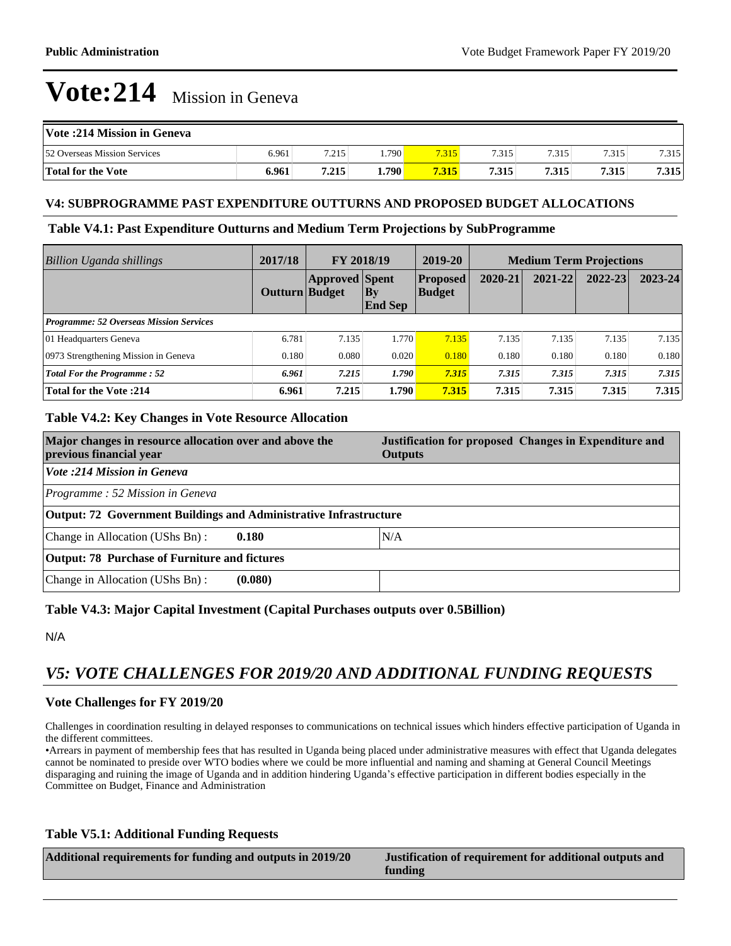| Vote: 214 Mission in Geneva  |       |       |                    |       |       |       |       |       |
|------------------------------|-------|-------|--------------------|-------|-------|-------|-------|-------|
| 52 Overseas Mission Services | 6.961 | 7.215 | .790               | 7.315 | 7.315 | 7.315 | 7.315 | 7.315 |
| Total for the Vote           | 6.961 | 7.215 | 1.790 <sup>1</sup> | 7.315 | 7.315 | 7.315 | 7.315 | 7.315 |

#### **V4: SUBPROGRAMME PAST EXPENDITURE OUTTURNS AND PROPOSED BUDGET ALLOCATIONS**

#### **Table V4.1: Past Expenditure Outturns and Medium Term Projections by SubProgramme**

| <b>Billion Uganda shillings</b>                | 2017/18               | FY 2018/19            |                      | 2019-20                          | <b>Medium Term Projections</b> |         |         |         |
|------------------------------------------------|-----------------------|-----------------------|----------------------|----------------------------------|--------------------------------|---------|---------|---------|
|                                                | <b>Outturn Budget</b> | <b>Approved Spent</b> | Bv<br><b>End Sep</b> | <b>Proposed</b><br><b>Budget</b> | 2020-21                        | 2021-22 | 2022-23 | 2023-24 |
| <b>Programme: 52 Overseas Mission Services</b> |                       |                       |                      |                                  |                                |         |         |         |
| 01 Headquarters Geneva                         | 6.781                 | 7.135                 | 1.770                | 7.135                            | 7.135                          | 7.135   | 7.135   | 7.135   |
| 0973 Strengthening Mission in Geneva           | 0.180                 | 0.080                 | 0.020                | 0.180                            | 0.180                          | 0.180   | 0.180   | 0.180   |
| <b>Total For the Programme: 52</b>             | 6.961                 | 7.215                 | 1.790                | 7.315                            | 7.315                          | 7.315   | 7.315   | 7.315   |
| <b>Total for the Vote: 214</b>                 | 6.961                 | 7.215                 | 1.790                | 7.315                            | 7.315                          | 7.315   | 7.315   | 7.315   |

## **Table V4.2: Key Changes in Vote Resource Allocation**

| Major changes in resource allocation over and above the<br>previous financial year | Justification for proposed Changes in Expenditure and<br><b>Outputs</b> |  |  |  |  |  |  |
|------------------------------------------------------------------------------------|-------------------------------------------------------------------------|--|--|--|--|--|--|
| Vote :214 Mission in Geneva                                                        |                                                                         |  |  |  |  |  |  |
| Programme: 52 Mission in Geneva                                                    |                                                                         |  |  |  |  |  |  |
| <b>Output: 72 Government Buildings and Administrative Infrastructure</b>           |                                                                         |  |  |  |  |  |  |
| Change in Allocation (UShs Bn):<br>0.180                                           | N/A                                                                     |  |  |  |  |  |  |
| <b>Output: 78 Purchase of Furniture and fictures</b>                               |                                                                         |  |  |  |  |  |  |
| Change in Allocation (UShs Bn):<br>(0.080)                                         |                                                                         |  |  |  |  |  |  |

## **Table V4.3: Major Capital Investment (Capital Purchases outputs over 0.5Billion)**

N/A

## *V5: VOTE CHALLENGES FOR 2019/20 AND ADDITIONAL FUNDING REQUESTS*

## **Vote Challenges for FY 2019/20**

Challenges in coordination resulting in delayed responses to communications on technical issues which hinders effective participation of Uganda in the different committees.

Arrears in payment of membership fees that has resulted in Uganda being placed under administrative measures with effect that Uganda delegates cannot be nominated to preside over WTO bodies where we could be more influential and naming and shaming at General Council Meetings disparaging and ruining the image of Uganda and in addition hindering Uganda's effective participation in different bodies especially in the Committee on Budget, Finance and Administration

## **Table V5.1: Additional Funding Requests**

| Additional requirements for funding and outputs in 2019/20 | Justification of requirement for additional outputs and<br>funding |
|------------------------------------------------------------|--------------------------------------------------------------------|
|                                                            |                                                                    |